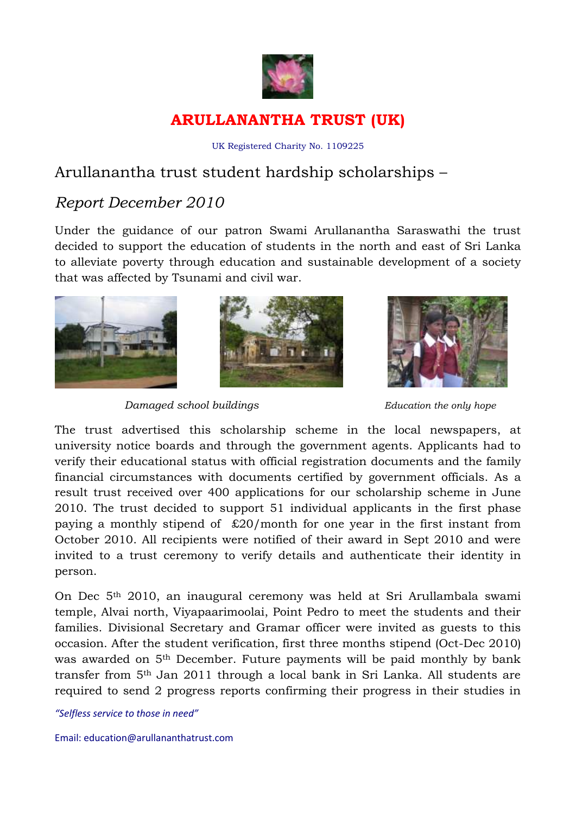

## **ARULLANANTHA TRUST (UK)**

## UK Registered Charity No. 1109225

## Arullanantha trust student hardship scholarships –

## *Report December 2010*

Under the guidance of our patron Swami Arullanantha Saraswathi the trust decided to support the education of students in the north and east of Sri Lanka to alleviate poverty through education and sustainable development of a society that was affected by Tsunami and civil war.





*Damaged school buildings Education the only hope*



The trust advertised this scholarship scheme in the local newspapers, at university notice boards and through the government agents. Applicants had to verify their educational status with official registration documents and the family financial circumstances with documents certified by government officials. As a result trust received over 400 applications for our scholarship scheme in June 2010. The trust decided to support 51 individual applicants in the first phase paying a monthly stipend of £20/month for one year in the first instant from October 2010. All recipients were notified of their award in Sept 2010 and were invited to a trust ceremony to verify details and authenticate their identity in person.

On Dec 5th 2010, an inaugural ceremony was held at Sri Arullambala swami temple, Alvai north, Viyapaarimoolai, Point Pedro to meet the students and their families. Divisional Secretary and Gramar officer were invited as guests to this occasion. After the student verification, first three months stipend (Oct-Dec 2010) was awarded on 5th December. Future payments will be paid monthly by bank transfer from 5th Jan 2011 through a local bank in Sri Lanka. All students are required to send 2 progress reports confirming their progress in their studies in

*"Selfless service to those in need"*

Email: education@arullananthatrust.com